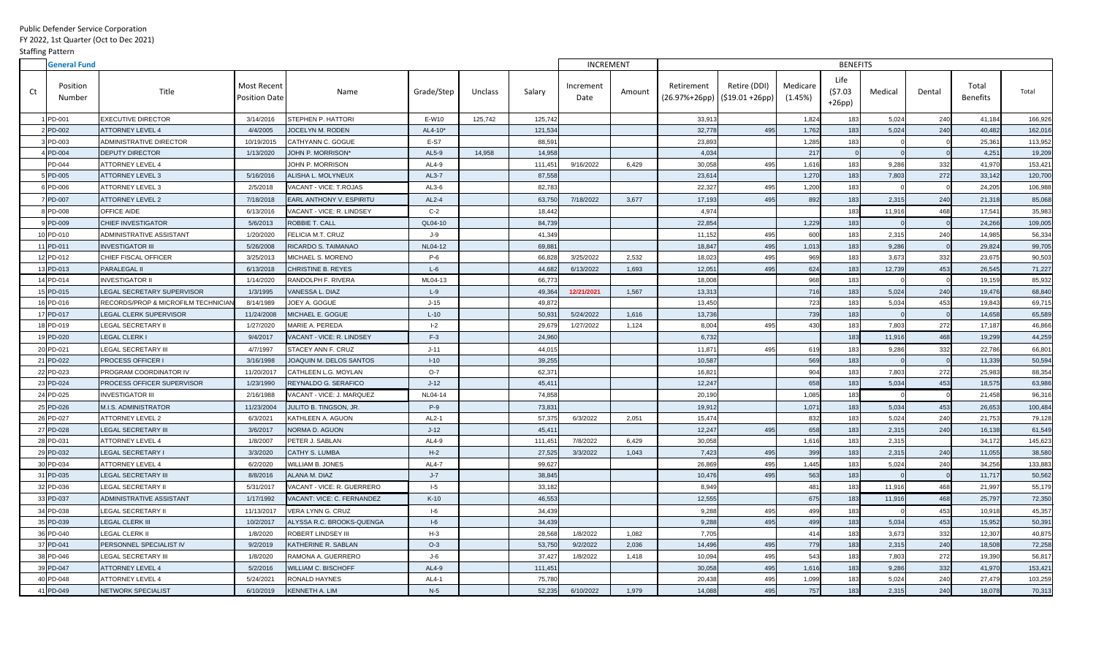Public Defender Service Corporation

## FY 2022, 1st Quarter (Oct to Dec 2021)

Staffing Pattern

|    | <b>General Fund</b> |                                     |                                            |                                 |            |         |         | <b>INCREMENT</b>  |        | <b>BENEFITS</b>                               |              |                     |                            |         |        |                          |         |
|----|---------------------|-------------------------------------|--------------------------------------------|---------------------------------|------------|---------|---------|-------------------|--------|-----------------------------------------------|--------------|---------------------|----------------------------|---------|--------|--------------------------|---------|
| Ct | Position<br>Number  | Title                               | <b>Most Recent</b><br><b>Position Date</b> | Name                            | Grade/Step | Unclass | Salary  | Increment<br>Date | Amount | Retirement<br>$(26.97%+26pp)$ (\$19.01 +26pp) | Retire (DDI) | Medicare<br>(1.45%) | Life<br>(57.03)<br>$+26pp$ | Medical | Dental | Total<br><b>Benefits</b> | Total   |
|    | <b>PD-001</b>       | <b>EXECUTIVE DIRECTOR</b>           | 3/14/2016                                  | STEPHEN P. HATTORI              | E-W10      | 125,742 | 125,742 |                   |        | 33,913                                        |              | 1,824               | 183                        | 5,024   | 240    | 41,184                   | 166,926 |
|    | PD-002              | <b>ATTORNEY LEVEL 4</b>             | 4/4/2005                                   | JOCELYN M. RODEN                | AL4-10*    |         | 121,534 |                   |        | 32,778                                        | 495          | 1,762               | 183                        | 5,024   | 240    | 40,482                   | 162,016 |
|    | BPD-003             | <b>ADMINISTRATIVE DIRECTOR</b>      | 10/19/2015                                 | CATHYANN C. GOGUE               | E-S7       |         | 88,591  |                   |        | 23,893                                        |              | 1,285               | 183                        |         |        | 25,361                   | 113,952 |
|    | PD-004              | <b>DEPUTY DIRECTOR</b>              | 1/13/2020                                  | JOHN P. MORRISON*               | AL5-9      | 14,958  | 14,958  |                   |        | 4,034                                         |              | 217                 |                            |         |        | 4,251                    | 19,209  |
|    | PD-044              | <b>ATTORNEY LEVEL 4</b>             |                                            | JOHN P. MORRISON                | AL4-9      |         | 111,451 | 9/16/2022         | 6,429  | 30,058                                        | 495          | 1,616               | 183                        | 9,286   | 332    | 41,970                   | 153,421 |
|    | $5$ PD-005          | ATTORNEY LEVEL 3                    | 5/16/2016                                  | ALISHA L. MOLYNEUX              | AL3-7      |         | 87,558  |                   |        | 23,614                                        |              | 1,270               | 183                        | 7,803   | 272    | 33,142                   | 120,700 |
|    | <b>SPD-006</b>      | ATTORNEY LEVEL 3                    | 2/5/2018                                   | VACANT - VICE: T.ROJAS          | $AL3-6$    |         | 82,783  |                   |        | 22,327                                        | 495          | 1,200               | 183                        |         |        | 24,205                   | 106,988 |
|    | <b>PD-007</b>       | <b>ATTORNEY LEVEL 2</b>             | 7/18/2018                                  | <b>EARL ANTHONY V. ESPIRITU</b> | AL2-4      |         | 63,750  | 7/18/2022         | 3,677  | 17,193                                        | 495          | 892                 | 183                        | 2,315   | 240    | 21,318                   | 85,068  |
|    | PD-008              | OFFICE AIDE                         | 6/13/2016                                  | VACANT - VICE: R. LINDSEY       | $C-2$      |         | 18,442  |                   |        | 4,974                                         |              |                     | 183                        | 11,916  | 468    | 17,541                   | 35,983  |
|    | PD-009              | <b>CHIEF INVESTIGATOR</b>           | 5/6/2013                                   | ROBBIE T. CALL                  | QL04-10    |         | 84,739  |                   |        | 22,854                                        |              | 1,229               | 183                        |         |        | 24,266                   | 109,005 |
|    | DPD-010             | ADMINISTRATIVE ASSISTANT            | 1/20/2020                                  | FELICIA M.T. CRUZ               | $J-9$      |         | 41,349  |                   |        | 11,152                                        | 495          | 600                 | 183                        | 2,315   | 240    | 14,985                   | 56,334  |
|    | 1PD-011             | <b>INVESTIGATOR III</b>             | 5/26/2008                                  | RICARDO S. TAIMANAO             | NL04-12    |         | 69,881  |                   |        | 18,847                                        | 495          | 1,013               | 183                        | 9,286   |        | 29,824                   | 99,705  |
|    | 12 PD-012           | CHIEF FISCAL OFFICER                | 3/25/2013                                  | MICHAEL S. MORENO               | $P-6$      |         | 66,828  | 3/25/2022         | 2,532  | 18,023                                        | 495          | 969                 | 183                        | 3,673   | 332    | 23,675                   | 90,503  |
|    | 13 PD-013           | <b>PARALEGAL II</b>                 | 6/13/2018                                  | CHRISTINE B. REYES              | $L-6$      |         | 44,682  | 6/13/2022         | 1,693  | 12,051                                        | 495          | 624                 | 183                        | 12,739  | 453    | 26,545                   | 71,227  |
|    | 4 PD-014            | <b>INVESTIGATOR II</b>              | 1/14/2020                                  | RANDOLPH F. RIVERA              | ML04-13    |         | 66,773  |                   |        | 18,008                                        |              | 968                 | 183                        |         |        | 19,159                   | 85,932  |
|    | 15 PD-015           | LEGAL SECRETARY SUPERVISOR          | 1/3/1995                                   | VANESSA L. DIAZ                 | $L-9$      |         | 49,364  | 12/21/2021        | 1,567  | 13,313                                        |              | 716                 | 183                        | 5,024   | 240    | 19,476                   | 68,840  |
|    | SPD-016             | RECORDS/PROP & MICROFILM TECHNICIAN | 8/14/1989                                  | JOEY A. GOGUE                   | $J-15$     |         | 49,872  |                   |        | 13,450                                        |              | 723                 | 183                        | 5,034   | 453    | 19,843                   | 69,715  |
|    | 7 PD-017            | LEGAL CLERK SUPERVISOR              | 11/24/2008                                 | MICHAEL E. GOGUE                | $L-10$     |         | 50,931  | 5/24/2022         | 1,616  | 13,736                                        |              | 739                 | 183                        |         |        | 14,658                   | 65,589  |
|    | 18 PD-019           | <b>LEGAL SECRETARY II</b>           | 1/27/2020                                  | MARIE A. PEREDA                 | $I-2$      |         | 29,679  | 1/27/2022         | 1,124  | 8,004                                         | 495          | 430                 | 183                        | 7,803   | 272    | 17,187                   | 46,866  |
|    | 19 PD-020           | <b>LEGAL CLERK I</b>                | 9/4/2017                                   | VACANT - VICE: R. LINDSEY       | $F-3$      |         | 24,960  |                   |        | 6,732                                         |              |                     | 183                        | 11,916  | 468    | 19,299                   | 44,259  |
|    | 20 PD-021           | <b>LEGAL SECRETARY III</b>          | 4/7/1997                                   | STACEY ANN F. CRUZ              | $J-11$     |         | 44,015  |                   |        | 11,87'                                        | 495          | 619                 | 183                        | 9,286   | 332    | 22,786                   | 66,801  |
|    | 21 PD-022           | <b>PROCESS OFFICER I</b>            | 3/16/1998                                  | JOAQUIN M. DELOS SANTOS         | $I-10$     |         | 39,255  |                   |        | 10,587                                        |              | 569                 | 183                        |         |        | 11,339                   | 50,594  |
|    | 22 PD-023           | PROGRAM COORDINATOR IV              | 11/20/2017                                 | CATHLEEN L.G. MOYLAN            | $O-7$      |         | 62,371  |                   |        | 16,821                                        |              | 904                 | 183                        | 7,803   | 272    | 25,983                   | 88,354  |
|    | 23 PD-024           | PROCESS OFFICER SUPERVISOR          | 1/23/1990                                  | <b>REYNALDO G. SERAFICO</b>     | $J-12$     |         | 45,41   |                   |        | 12,247                                        |              | 658                 | 183                        | 5,034   | 453    | 18,575                   | 63,986  |
|    | 24 PD-025           | <b>INVESTIGATOR III</b>             | 2/16/1988                                  | VACANT - VICE: J. MARQUEZ       | NL04-14    |         | 74,858  |                   |        | 20,190                                        |              | 1,085               | 183                        |         |        | 21,458                   | 96,316  |
|    | 25 PD-026           | M.I.S. ADMINISTRATOR                | 11/23/2004                                 | JULITO B. TINGSON, JR.          | $P-9$      |         | 73,831  |                   |        | 19,912                                        |              | 1,071               | 183                        | 5,034   | 453    | 26,653                   | 100,484 |
|    | 26 PD-027           | <b>ATTORNEY LEVEL 2</b>             | 6/3/2021                                   | KATHLEEN A. AGUON               | AL2-1      |         | 57,375  | 6/3/2022          | 2,051  | 15,474                                        |              | 832                 | 183                        | 5,024   | 240    | 21,753                   | 79,128  |
|    | 27 PD-028           | <b>LEGAL SECRETARY III</b>          | 3/6/2017                                   | NORMA D. AGUON                  | $J-12$     |         | 45,411  |                   |        | 12,247                                        | 495          | 658                 | 183                        | 2,315   | 240    | 16,138                   | 61,549  |
|    | 28 PD-031           | <b>ATTORNEY LEVEL 4</b>             | 1/8/2007                                   | PETER J. SABLAN                 | AL4-9      |         | 111,451 | 7/8/2022          | 6,429  | 30,058                                        |              | 1,616               | 183                        | 2,315   |        | 34,172                   | 145,623 |
|    | 29 PD-032           | <b>LEGAL SECRETARY I</b>            | 3/3/2020                                   | <b>CATHY S. LUMBA</b>           | $H-2$      |         | 27,525  | 3/3/2022          | 1,043  | 7,423                                         | 495          | 399                 | 183                        | 2,315   | 240    | 11,055                   | 38,580  |
|    | 30 PD-034           | <b>ATTORNEY LEVEL 4</b>             | 6/2/2020                                   | <b>WILLIAM B. JONES</b>         | AL4-7      |         | 99,627  |                   |        | 26,869                                        | 495          | 1,445               | 183                        | 5,024   | 240    | 34,256                   | 133,883 |
|    | 31 PD-035           | <b>LEGAL SECRETARY III</b>          | 8/8/2016                                   | ALANA M. DIAZ                   | $J - 7$    |         | 38,845  |                   |        | 10,476                                        | 495          | 563                 | 183                        |         |        | 11,717                   | 50,562  |
|    | 32 PD-036           | LEGAL SECRETARY II                  | 5/31/2017                                  | VACANT - VICE: R. GUERRERO      | $-5$       |         | 33,182  |                   |        | 8,949                                         |              | 481                 | 183                        | 11,916  | 468    | 21,997                   | 55,179  |
|    | 33 PD-037           | ADMINISTRATIVE ASSISTANT            | 1/17/1992                                  | VACANT: VICE: C. FERNANDEZ      | $K-10$     |         | 46,553  |                   |        | 12,555                                        |              | 675                 | 183                        | 11,916  | 468    | 25,797                   | 72,350  |
|    | 34 PD-038           | LEGAL SECRETARY II                  | 11/13/2017                                 | VERA LYNN G. CRUZ               | $1-6$      |         | 34,439  |                   |        | 9,288                                         | 495          | 499                 | 183                        |         | 453    | 10,918                   | 45,357  |
|    | 35 PD-039           | <b>LEGAL CLERK III</b>              | 10/2/2017                                  | ALYSSA R.C. BROOKS-QUENGA       | $I-6$      |         | 34,439  |                   |        | 9,288                                         | 495          | 499                 | 183                        | 5,034   | 453    | 15,952                   | 50,391  |
|    | 36 PD-040           | <b>LEGAL CLERK II</b>               | 1/8/2020                                   | <b>ROBERT LINDSEY III</b>       | $H-3$      |         | 28,568  | 1/8/2022          | 1,082  | 7,705                                         |              | 414                 | 183                        | 3,673   | 332    | 12,307                   | 40,875  |
|    | 37 PD-041           | PERSONNEL SPECIALIST IV             | 9/2/2019                                   | KATHERINE R. SABLAN             | $O-3$      |         | 53,750  | 9/2/2022          | 2,036  | 14,496                                        | 495          | 779                 | 183                        | 2,315   | 240    | 18,508                   | 72,258  |
|    | 38 PD-046           | <b>LEGAL SECRETARY III</b>          | 1/8/2020                                   | RAMONA A. GUERRERO              | J-6        |         | 37,427  | 1/8/2022          | 1,418  | 10,094                                        | 495          | 543                 | 183                        | 7,803   | 272    | 19,390                   | 56,817  |
|    | 39 PD-047           | <b>ATTORNEY LEVEL 4</b>             | 5/2/2016                                   | WILLIAM C. BISCHOFF             | AL4-9      |         | 111,451 |                   |        | 30,058                                        | 495          | 1,616               | 183                        | 9,286   | 332    | 41,970                   | 153,421 |
|    | 40 PD-048           | <b>ATTORNEY LEVEL 4</b>             | 5/24/2021                                  | <b>RONALD HAYNES</b>            | AL4-1      |         | 75,780  |                   |        | 20,438                                        | 495          | 1,099               | 183                        | 5,024   | 240    | 27,479                   | 103,259 |
|    | 41 PD-049           | <b>NETWORK SPECIALIST</b>           | 6/10/2019                                  | KENNETH A. LIM                  | $N-5$      |         | 52,235  | 6/10/2022         | 1,979  | 14,088                                        | 495          | 757                 | 183                        | 2,315   | 240    | 18,078                   | 70,313  |